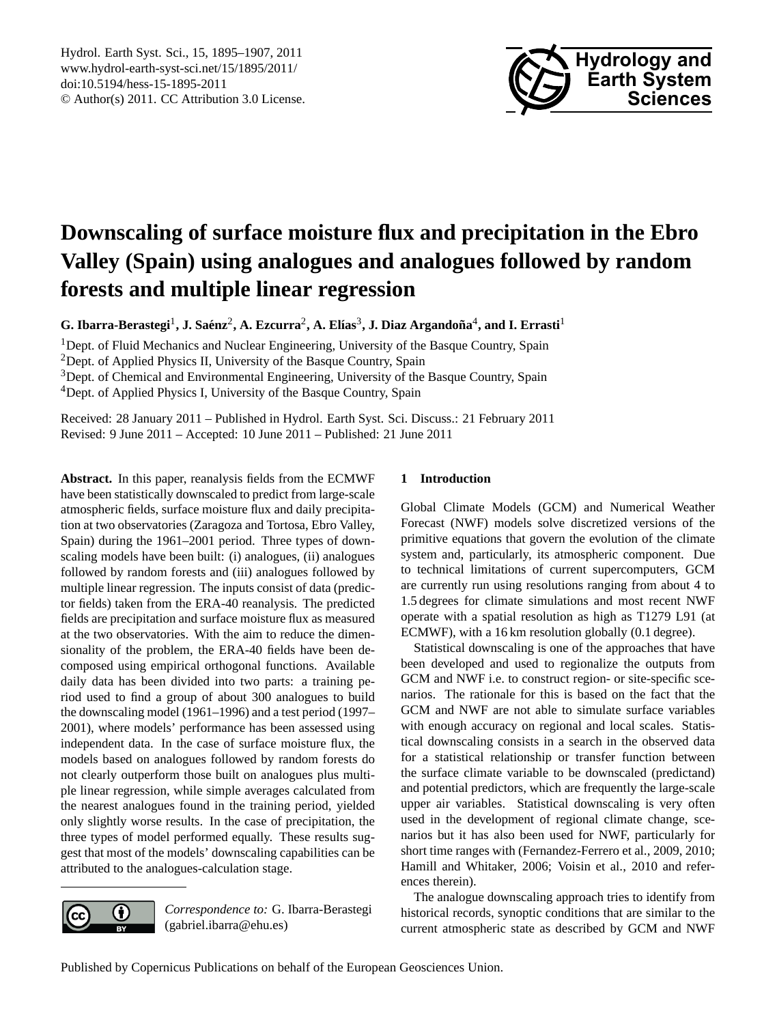

# <span id="page-0-0"></span>**Downscaling of surface moisture flux and precipitation in the Ebro Valley (Spain) using analogues and analogues followed by random forests and multiple linear regression**

 $\bf{G.}$  Ibarra-Berastegi<sup>1</sup>, J. Saénz<sup>2</sup>, A. Ezcurra<sup>2</sup>, A. Elías<sup>3</sup>, J. Diaz Argandoña<sup>4</sup>, and I. Errasti<sup>1</sup>

<sup>1</sup>Dept. of Fluid Mechanics and Nuclear Engineering, University of the Basque Country, Spain

<sup>2</sup>Dept. of Applied Physics II, University of the Basque Country, Spain

<sup>3</sup>Dept. of Chemical and Environmental Engineering, University of the Basque Country, Spain

<sup>4</sup>Dept. of Applied Physics I, University of the Basque Country, Spain

Received: 28 January 2011 – Published in Hydrol. Earth Syst. Sci. Discuss.: 21 February 2011 Revised: 9 June 2011 – Accepted: 10 June 2011 – Published: 21 June 2011

**Abstract.** In this paper, reanalysis fields from the ECMWF have been statistically downscaled to predict from large-scale atmospheric fields, surface moisture flux and daily precipitation at two observatories (Zaragoza and Tortosa, Ebro Valley, Spain) during the 1961–2001 period. Three types of downscaling models have been built: (i) analogues, (ii) analogues followed by random forests and (iii) analogues followed by multiple linear regression. The inputs consist of data (predictor fields) taken from the ERA-40 reanalysis. The predicted fields are precipitation and surface moisture flux as measured at the two observatories. With the aim to reduce the dimensionality of the problem, the ERA-40 fields have been decomposed using empirical orthogonal functions. Available daily data has been divided into two parts: a training period used to find a group of about 300 analogues to build the downscaling model (1961–1996) and a test period (1997– 2001), where models' performance has been assessed using independent data. In the case of surface moisture flux, the models based on analogues followed by random forests do not clearly outperform those built on analogues plus multiple linear regression, while simple averages calculated from the nearest analogues found in the training period, yielded only slightly worse results. In the case of precipitation, the three types of model performed equally. These results suggest that most of the models' downscaling capabilities can be attributed to the analogues-calculation stage.

# **1 Introduction**

Global Climate Models (GCM) and Numerical Weather Forecast (NWF) models solve discretized versions of the primitive equations that govern the evolution of the climate system and, particularly, its atmospheric component. Due to technical limitations of current supercomputers, GCM are currently run using resolutions ranging from about 4 to 1.5 degrees for climate simulations and most recent NWF operate with a spatial resolution as high as T1279 L91 (at ECMWF), with a 16 km resolution globally (0.1 degree).

Statistical downscaling is one of the approaches that have been developed and used to regionalize the outputs from GCM and NWF i.e. to construct region- or site-specific scenarios. The rationale for this is based on the fact that the GCM and NWF are not able to simulate surface variables with enough accuracy on regional and local scales. Statistical downscaling consists in a search in the observed data for a statistical relationship or transfer function between the surface climate variable to be downscaled (predictand) and potential predictors, which are frequently the large-scale upper air variables. Statistical downscaling is very often used in the development of regional climate change, scenarios but it has also been used for NWF, particularly for short time ranges with (Fernandez-Ferrero et al., 2009, 2010; Hamill and Whitaker, 2006; Voisin et al., 2010 and references therein).

The analogue downscaling approach tries to identify from historical records, synoptic conditions that are similar to the current atmospheric state as described by GCM and NWF



*Correspondence to:* G. Ibarra-Berastegi (gabriel.ibarra@ehu.es)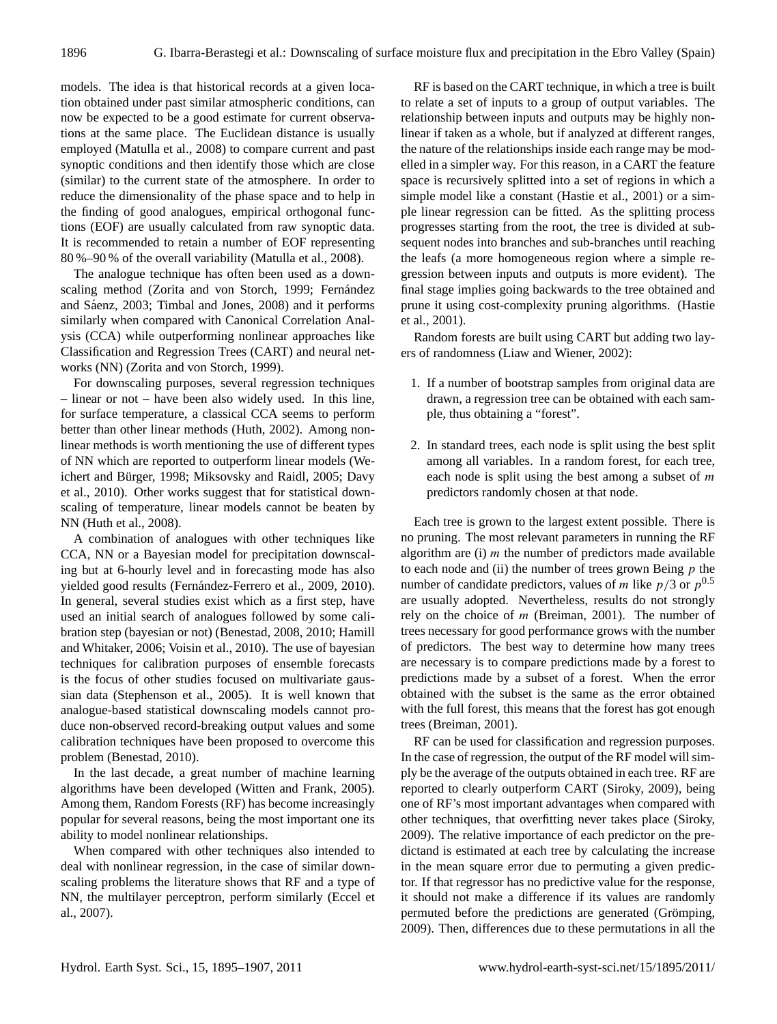models. The idea is that historical records at a given location obtained under past similar atmospheric conditions, can now be expected to be a good estimate for current observations at the same place. The Euclidean distance is usually employed (Matulla et al., 2008) to compare current and past synoptic conditions and then identify those which are close (similar) to the current state of the atmosphere. In order to reduce the dimensionality of the phase space and to help in the finding of good analogues, empirical orthogonal functions (EOF) are usually calculated from raw synoptic data. It is recommended to retain a number of EOF representing 80 %–90 % of the overall variability (Matulla et al., 2008).

The analogue technique has often been used as a downscaling method (Zorita and von Storch, 1999; Fernández and Sáenz, 2003; Timbal and Jones, 2008) and it performs similarly when compared with Canonical Correlation Analysis (CCA) while outperforming nonlinear approaches like Classification and Regression Trees (CART) and neural networks (NN) (Zorita and von Storch, 1999).

For downscaling purposes, several regression techniques – linear or not – have been also widely used. In this line, for surface temperature, a classical CCA seems to perform better than other linear methods (Huth, 2002). Among nonlinear methods is worth mentioning the use of different types of NN which are reported to outperform linear models (Weichert and Bürger, 1998; Miksovsky and Raidl, 2005; Davy et al., 2010). Other works suggest that for statistical downscaling of temperature, linear models cannot be beaten by NN (Huth et al., 2008).

A combination of analogues with other techniques like CCA, NN or a Bayesian model for precipitation downscaling but at 6-hourly level and in forecasting mode has also yielded good results (Fernández-Ferrero et al., 2009, 2010). In general, several studies exist which as a first step, have used an initial search of analogues followed by some calibration step (bayesian or not) (Benestad, 2008, 2010; Hamill and Whitaker, 2006; Voisin et al., 2010). The use of bayesian techniques for calibration purposes of ensemble forecasts is the focus of other studies focused on multivariate gaussian data (Stephenson et al., 2005). It is well known that analogue-based statistical downscaling models cannot produce non-observed record-breaking output values and some calibration techniques have been proposed to overcome this problem (Benestad, 2010).

In the last decade, a great number of machine learning algorithms have been developed (Witten and Frank, 2005). Among them, Random Forests (RF) has become increasingly popular for several reasons, being the most important one its ability to model nonlinear relationships.

When compared with other techniques also intended to deal with nonlinear regression, in the case of similar downscaling problems the literature shows that RF and a type of NN, the multilayer perceptron, perform similarly (Eccel et al., 2007).

RF is based on the CART technique, in which a tree is built to relate a set of inputs to a group of output variables. The relationship between inputs and outputs may be highly nonlinear if taken as a whole, but if analyzed at different ranges, the nature of the relationships inside each range may be modelled in a simpler way. For this reason, in a CART the feature space is recursively splitted into a set of regions in which a simple model like a constant (Hastie et al., 2001) or a simple linear regression can be fitted. As the splitting process progresses starting from the root, the tree is divided at subsequent nodes into branches and sub-branches until reaching the leafs (a more homogeneous region where a simple regression between inputs and outputs is more evident). The final stage implies going backwards to the tree obtained and prune it using cost-complexity pruning algorithms. (Hastie et al., 2001).

Random forests are built using CART but adding two layers of randomness (Liaw and Wiener, 2002):

- 1. If a number of bootstrap samples from original data are drawn, a regression tree can be obtained with each sample, thus obtaining a "forest".
- 2. In standard trees, each node is split using the best split among all variables. In a random forest, for each tree, each node is split using the best among a subset of  $m$ predictors randomly chosen at that node.

Each tree is grown to the largest extent possible. There is no pruning. The most relevant parameters in running the RF algorithm are  $(i)$  *m* the number of predictors made available to each node and (ii) the number of trees grown Being  $p$  the number of candidate predictors, values of *m* like  $p/3$  or  $p^{0.5}$ are usually adopted. Nevertheless, results do not strongly rely on the choice of  $m$  (Breiman, 2001). The number of trees necessary for good performance grows with the number of predictors. The best way to determine how many trees are necessary is to compare predictions made by a forest to predictions made by a subset of a forest. When the error obtained with the subset is the same as the error obtained with the full forest, this means that the forest has got enough trees (Breiman, 2001).

RF can be used for classification and regression purposes. In the case of regression, the output of the RF model will simply be the average of the outputs obtained in each tree. RF are reported to clearly outperform CART (Siroky, 2009), being one of RF's most important advantages when compared with other techniques, that overfitting never takes place (Siroky, 2009). The relative importance of each predictor on the predictand is estimated at each tree by calculating the increase in the mean square error due to permuting a given predictor. If that regressor has no predictive value for the response, it should not make a difference if its values are randomly permuted before the predictions are generated (Grömping, 2009). Then, differences due to these permutations in all the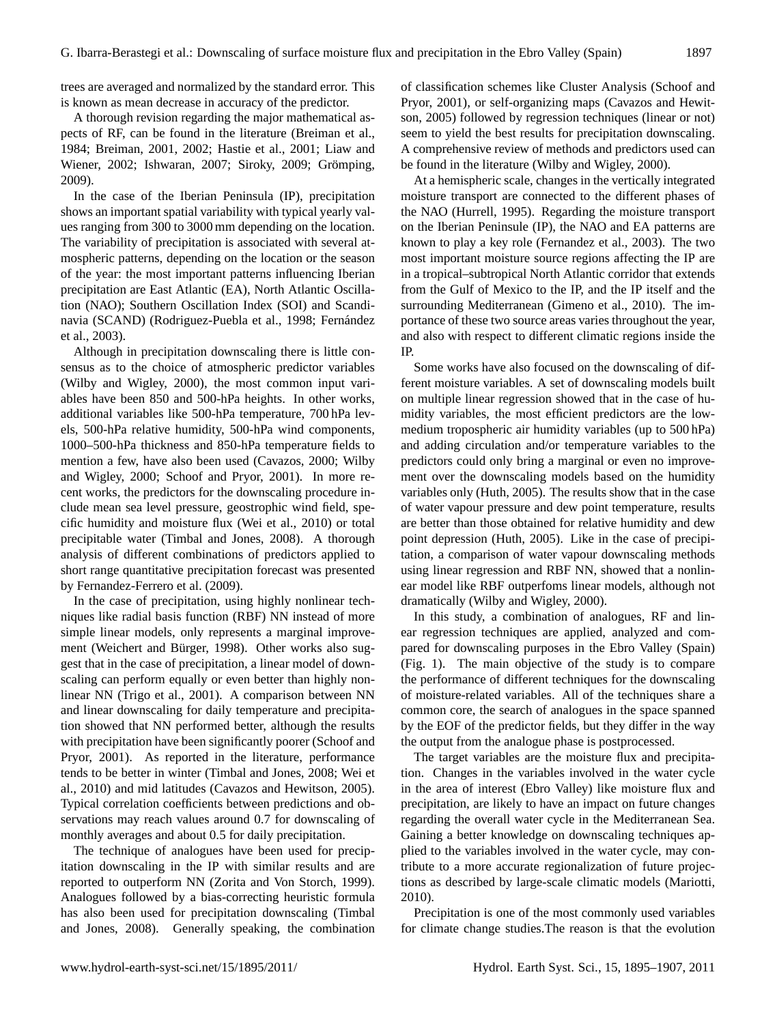trees are averaged and normalized by the standard error. This is known as mean decrease in accuracy of the predictor.

A thorough revision regarding the major mathematical aspects of RF, can be found in the literature (Breiman et al., 1984; Breiman, 2001, 2002; Hastie et al., 2001; Liaw and Wiener, 2002; Ishwaran, 2007; Siroky, 2009; Grömping, 2009).

In the case of the Iberian Peninsula (IP), precipitation shows an important spatial variability with typical yearly values ranging from 300 to 3000 mm depending on the location. The variability of precipitation is associated with several atmospheric patterns, depending on the location or the season of the year: the most important patterns influencing Iberian precipitation are East Atlantic (EA), North Atlantic Oscillation (NAO); Southern Oscillation Index (SOI) and Scandinavia (SCAND) (Rodriguez-Puebla et al., 1998; Fernández et al., 2003).

Although in precipitation downscaling there is little consensus as to the choice of atmospheric predictor variables (Wilby and Wigley, 2000), the most common input variables have been 850 and 500-hPa heights. In other works, additional variables like 500-hPa temperature, 700 hPa levels, 500-hPa relative humidity, 500-hPa wind components, 1000–500-hPa thickness and 850-hPa temperature fields to mention a few, have also been used (Cavazos, 2000; Wilby and Wigley, 2000; Schoof and Pryor, 2001). In more recent works, the predictors for the downscaling procedure include mean sea level pressure, geostrophic wind field, specific humidity and moisture flux (Wei et al., 2010) or total precipitable water (Timbal and Jones, 2008). A thorough analysis of different combinations of predictors applied to short range quantitative precipitation forecast was presented by Fernandez-Ferrero et al. (2009).

In the case of precipitation, using highly nonlinear techniques like radial basis function (RBF) NN instead of more simple linear models, only represents a marginal improvement (Weichert and Bürger, 1998). Other works also suggest that in the case of precipitation, a linear model of downscaling can perform equally or even better than highly nonlinear NN (Trigo et al., 2001). A comparison between NN and linear downscaling for daily temperature and precipitation showed that NN performed better, although the results with precipitation have been significantly poorer (Schoof and Pryor, 2001). As reported in the literature, performance tends to be better in winter (Timbal and Jones, 2008; Wei et al., 2010) and mid latitudes (Cavazos and Hewitson, 2005). Typical correlation coefficients between predictions and observations may reach values around 0.7 for downscaling of monthly averages and about 0.5 for daily precipitation.

The technique of analogues have been used for precipitation downscaling in the IP with similar results and are reported to outperform NN (Zorita and Von Storch, 1999). Analogues followed by a bias-correcting heuristic formula has also been used for precipitation downscaling (Timbal and Jones, 2008). Generally speaking, the combination of classification schemes like Cluster Analysis (Schoof and Pryor, 2001), or self-organizing maps (Cavazos and Hewitson, 2005) followed by regression techniques (linear or not) seem to yield the best results for precipitation downscaling. A comprehensive review of methods and predictors used can be found in the literature (Wilby and Wigley, 2000).

At a hemispheric scale, changes in the vertically integrated moisture transport are connected to the different phases of the NAO (Hurrell, 1995). Regarding the moisture transport on the Iberian Peninsule (IP), the NAO and EA patterns are known to play a key role (Fernandez et al., 2003). The two most important moisture source regions affecting the IP are in a tropical–subtropical North Atlantic corridor that extends from the Gulf of Mexico to the IP, and the IP itself and the surrounding Mediterranean (Gimeno et al., 2010). The importance of these two source areas varies throughout the year, and also with respect to different climatic regions inside the IP.

Some works have also focused on the downscaling of different moisture variables. A set of downscaling models built on multiple linear regression showed that in the case of humidity variables, the most efficient predictors are the lowmedium tropospheric air humidity variables (up to 500 hPa) and adding circulation and/or temperature variables to the predictors could only bring a marginal or even no improvement over the downscaling models based on the humidity variables only (Huth, 2005). The results show that in the case of water vapour pressure and dew point temperature, results are better than those obtained for relative humidity and dew point depression (Huth, 2005). Like in the case of precipitation, a comparison of water vapour downscaling methods using linear regression and RBF NN, showed that a nonlinear model like RBF outperfoms linear models, although not dramatically (Wilby and Wigley, 2000).

In this study, a combination of analogues, RF and linear regression techniques are applied, analyzed and compared for downscaling purposes in the Ebro Valley (Spain) (Fig. 1). The main objective of the study is to compare the performance of different techniques for the downscaling of moisture-related variables. All of the techniques share a common core, the search of analogues in the space spanned by the EOF of the predictor fields, but they differ in the way the output from the analogue phase is postprocessed.

The target variables are the moisture flux and precipitation. Changes in the variables involved in the water cycle in the area of interest (Ebro Valley) like moisture flux and precipitation, are likely to have an impact on future changes regarding the overall water cycle in the Mediterranean Sea. Gaining a better knowledge on downscaling techniques applied to the variables involved in the water cycle, may contribute to a more accurate regionalization of future projections as described by large-scale climatic models (Mariotti, 2010).

Precipitation is one of the most commonly used variables for climate change studies.The reason is that the evolution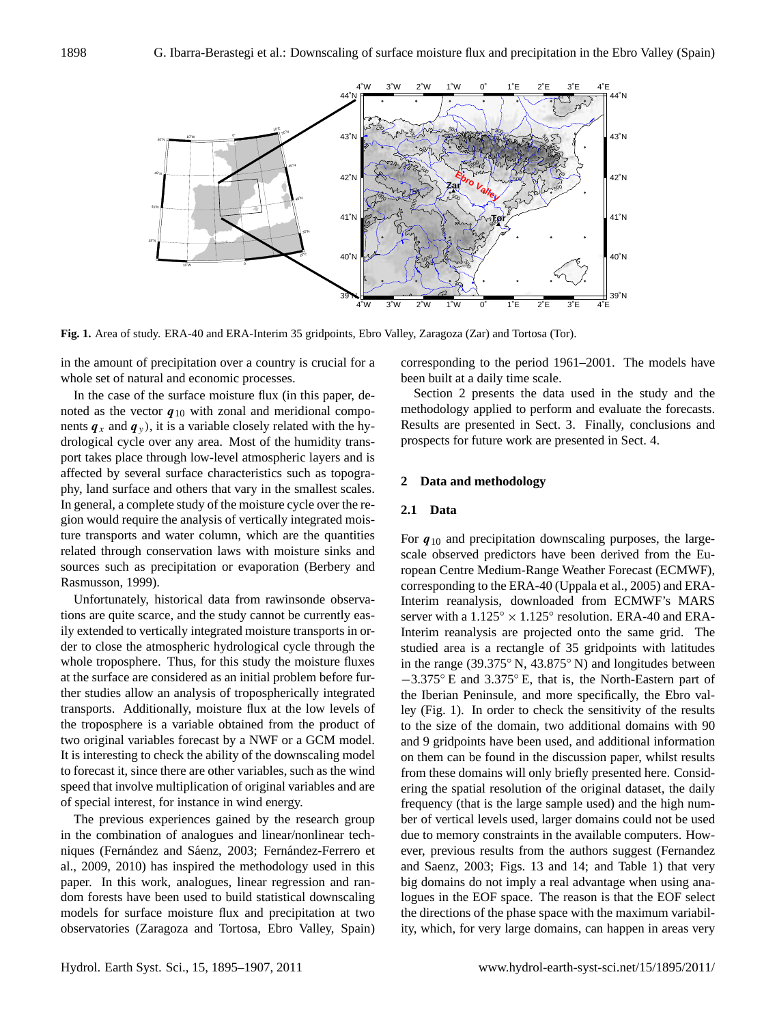

**Fig. 1.** Area of study. ERA-40 and ERA-Interim 35 gridpoints, Ebro Valley, Zaragoza (Zar) and Tortosa (Tor).

in the amount of precipitation over a country is crucial for a whole set of natural and economic processes.

In the case of the surface moisture flux (in this paper, denoted as the vector  $q_{10}$  with zonal and meridional components  $q_x$  and  $q_y$ ), it is a variable closely related with the hydrological cycle over any area. Most of the humidity transport takes place through low-level atmospheric layers and is affected by several surface characteristics such as topography, land surface and others that vary in the smallest scales. In general, a complete study of the moisture cycle over the region would require the analysis of vertically integrated moisture transports and water column, which are the quantities related through conservation laws with moisture sinks and sources such as precipitation or evaporation (Berbery and Rasmusson, 1999).

Unfortunately, historical data from rawinsonde observations are quite scarce, and the study cannot be currently easily extended to vertically integrated moisture transports in order to close the atmospheric hydrological cycle through the whole troposphere. Thus, for this study the moisture fluxes at the surface are considered as an initial problem before further studies allow an analysis of tropospherically integrated transports. Additionally, moisture flux at the low levels of the troposphere is a variable obtained from the product of two original variables forecast by a NWF or a GCM model. It is interesting to check the ability of the downscaling model to forecast it, since there are other variables, such as the wind speed that involve multiplication of original variables and are of special interest, for instance in wind energy.

The previous experiences gained by the research group in the combination of analogues and linear/nonlinear techniques (Fernández and Sáenz, 2003; Fernández-Ferrero et al., 2009, 2010) has inspired the methodology used in this paper. In this work, analogues, linear regression and random forests have been used to build statistical downscaling models for surface moisture flux and precipitation at two observatories (Zaragoza and Tortosa, Ebro Valley, Spain) corresponding to the period 1961–2001. The models have been built at a daily time scale.

Section 2 presents the data used in the study and the methodology applied to perform and evaluate the forecasts. Results are presented in Sect. 3. Finally, conclusions and prospects for future work are presented in Sect. 4.

## **2 Data and methodology**

### **2.1 Data**

For  $q_{10}$  and precipitation downscaling purposes, the largescale observed predictors have been derived from the European Centre Medium-Range Weather Forecast (ECMWF), corresponding to the ERA-40 (Uppala et al., 2005) and ERA-Interim reanalysis, downloaded from ECMWF's MARS server with a  $1.125^{\circ} \times 1.125^{\circ}$  resolution. ERA-40 and ERA-Interim reanalysis are projected onto the same grid. The studied area is a rectangle of 35 gridpoints with latitudes in the range (39.375◦ N, 43.875◦ N) and longitudes between −3.375◦ E and 3.375◦ E, that is, the North-Eastern part of the Iberian Peninsule, and more specifically, the Ebro valley (Fig. 1). In order to check the sensitivity of the results to the size of the domain, two additional domains with 90 and 9 gridpoints have been used, and additional information on them can be found in the discussion paper, whilst results from these domains will only briefly presented here. Considering the spatial resolution of the original dataset, the daily frequency (that is the large sample used) and the high number of vertical levels used, larger domains could not be used due to memory constraints in the available computers. However, previous results from the authors suggest (Fernandez and Saenz, 2003; Figs. 13 and 14; and Table 1) that very big domains do not imply a real advantage when using analogues in the EOF space. The reason is that the EOF select the directions of the phase space with the maximum variability, which, for very large domains, can happen in areas very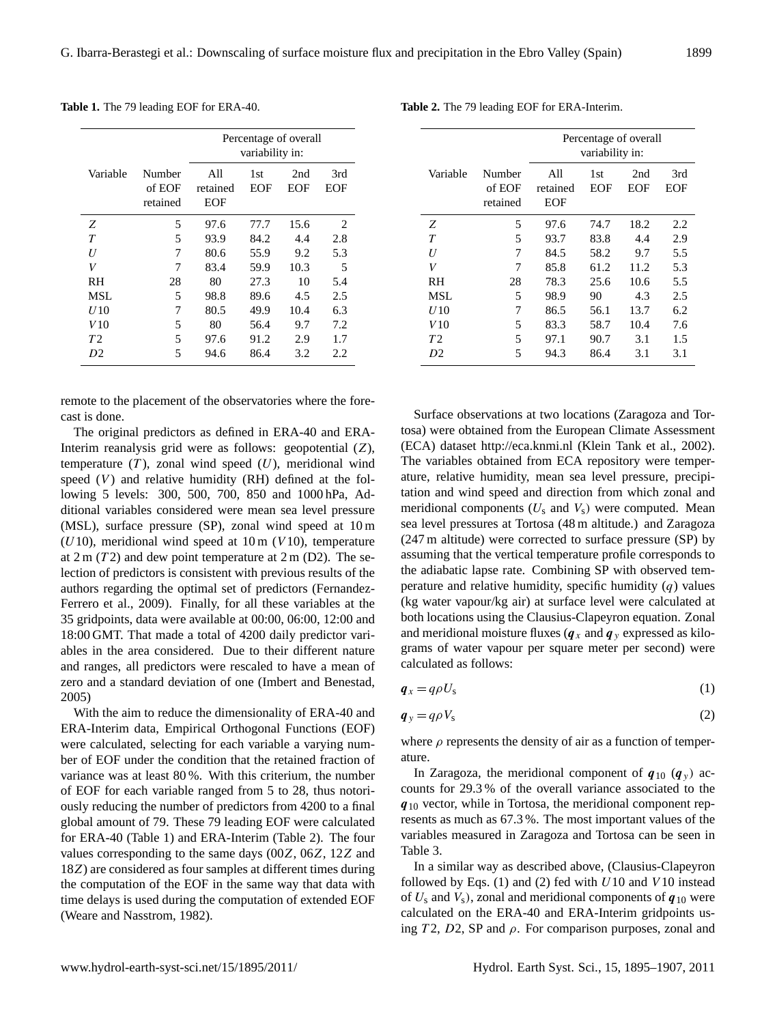|  |  |  |  |  | <b>Table 1.</b> The 79 leading EOF for ERA-40. |
|--|--|--|--|--|------------------------------------------------|
|--|--|--|--|--|------------------------------------------------|

|           |                              | Percentage of overall<br>variability in: |            |            |            |  |  |
|-----------|------------------------------|------------------------------------------|------------|------------|------------|--|--|
| Variable  | Number<br>of EOF<br>retained | All<br>retained<br>EOF                   | 1st<br>EOF | 2nd<br>EOF | 3rd<br>EOF |  |  |
| Z         | 5                            | 97.6                                     | 77.7       | 15.6       | 2          |  |  |
| T         | 5                            | 93.9                                     | 84.2       | 4.4        | 2.8        |  |  |
| U         | 7                            | 80.6                                     | 55.9       | 9.2        | 5.3        |  |  |
| V         | 7                            | 83.4                                     | 59.9       | 10.3       | 5          |  |  |
| <b>RH</b> | 28                           | 80                                       | 27.3       | 10         | 5.4        |  |  |
| MSL       | 5                            | 98.8                                     | 89.6       | 4.5        | 2.5        |  |  |
| U 10      | 7                            | 80.5                                     | 49.9       | 10.4       | 6.3        |  |  |
| V 10      | 5                            | 80                                       | 56.4       | 9.7        | 7.2        |  |  |
| T         | 5                            | 97.6                                     | 91.2       | 2.9        | 1.7        |  |  |
| D2        | 5                            | 94.6                                     | 86.4       | 3.2        | 2.2        |  |  |

remote to the placement of the observatories where the forecast is done.

The original predictors as defined in ERA-40 and ERA-Interim reanalysis grid were as follows: geopotential (Z), temperature  $(T)$ , zonal wind speed  $(U)$ , meridional wind speed  $(V)$  and relative humidity (RH) defined at the following 5 levels: 300, 500, 700, 850 and 1000 hPa, Additional variables considered were mean sea level pressure (MSL), surface pressure (SP), zonal wind speed at 10 m  $(U10)$ , meridional wind speed at  $10 \text{ m}$   $(V10)$ , temperature at  $2 \text{ m } (T2)$  and dew point temperature at  $2 \text{ m } (D2)$ . The selection of predictors is consistent with previous results of the authors regarding the optimal set of predictors (Fernandez-Ferrero et al., 2009). Finally, for all these variables at the 35 gridpoints, data were available at 00:00, 06:00, 12:00 and 18:00 GMT. That made a total of 4200 daily predictor variables in the area considered. Due to their different nature and ranges, all predictors were rescaled to have a mean of zero and a standard deviation of one (Imbert and Benestad, 2005)

With the aim to reduce the dimensionality of ERA-40 and ERA-Interim data, Empirical Orthogonal Functions (EOF) were calculated, selecting for each variable a varying number of EOF under the condition that the retained fraction of variance was at least 80 %. With this criterium, the number of EOF for each variable ranged from 5 to 28, thus notoriously reducing the number of predictors from 4200 to a final global amount of 79. These 79 leading EOF were calculated for ERA-40 (Table 1) and ERA-Interim (Table 2). The four values corresponding to the same days (00Z, 06Z, 12Z and 18Z) are considered as four samples at different times during the computation of the EOF in the same way that data with time delays is used during the computation of extended EOF (Weare and Nasstrom, 1982).

Percentage of overall variability in: Variable Number All 1st 2nd 3rd of EOF retained EOF EOF EOF retained EOF Z 5 97.6 74.7 18.2 2.2 T 5 93.7 83.8 4.4 2.9 U 7 84.5 58.2 9.7 5.5 V 7 85.8 61.2 11.2 5.3 RH 28 78.3 25.6 10.6 5.5 MSL 5 98.9 90 4.3 2.5 U10 7 86.5 56.1 13.7 6.2 V 10 5 83.3 58.7 10.4 7.6 T 2 5 97.1 90.7 3.1 1.5 D2 5 94.3 86.4 3.1 3.1

**Table 2.** The 79 leading EOF for ERA-Interim.

Surface observations at two locations (Zaragoza and Tortosa) were obtained from the European Climate Assessment (ECA) dataset <http://eca.knmi.nl> (Klein Tank et al., 2002). The variables obtained from ECA repository were temperature, relative humidity, mean sea level pressure, precipitation and wind speed and direction from which zonal and meridional components  $(U_s \text{ and } V_s)$  were computed. Mean sea level pressures at Tortosa (48 m altitude.) and Zaragoza (247 m altitude) were corrected to surface pressure (SP) by assuming that the vertical temperature profile corresponds to the adiabatic lapse rate. Combining SP with observed temperature and relative humidity, specific humidity  $(q)$  values (kg water vapour/kg air) at surface level were calculated at both locations using the Clausius-Clapeyron equation. Zonal and meridional moisture fluxes ( $q_x$  and  $q_y$  expressed as kilograms of water vapour per square meter per second) were calculated as follows:

$$
\boldsymbol{q}_x = q\rho U_s \tag{1}
$$

$$
\boldsymbol{q}_{y} = q\rho V_{s} \tag{2}
$$

where  $\rho$  represents the density of air as a function of temperature.

In Zaragoza, the meridional component of  $q_{10}$  ( $q_y$ ) accounts for 29.3 % of the overall variance associated to the  $q_{10}$  vector, while in Tortosa, the meridional component represents as much as 67.3 %. The most important values of the variables measured in Zaragoza and Tortosa can be seen in Table 3.

In a similar way as described above, (Clausius-Clapeyron followed by Eqs. (1) and (2) fed with  $U10$  and  $V10$  instead of  $U_s$  and  $V_s$ ), zonal and meridional components of  $q_{10}$  were calculated on the ERA-40 and ERA-Interim gridpoints using T2, D2, SP and  $\rho$ . For comparison purposes, zonal and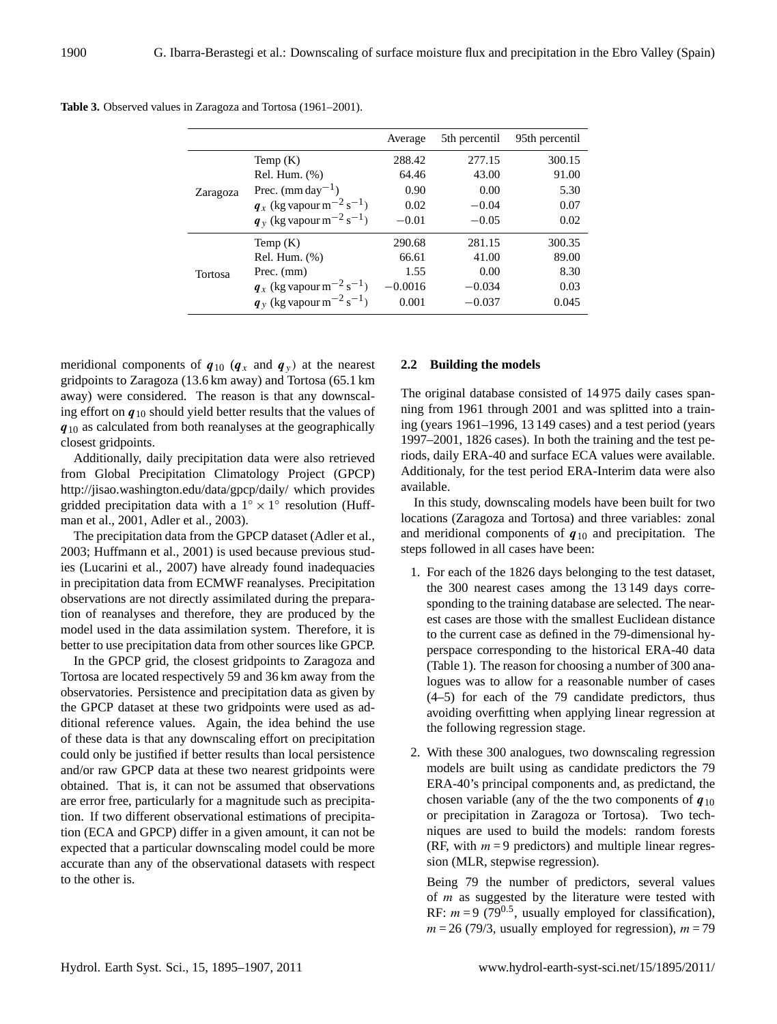|                |                                                    | Average   | 5th percentil | 95th percentil |
|----------------|----------------------------------------------------|-----------|---------------|----------------|
|                | Temp $(K)$                                         | 288.42    | 277.15        | 300.15         |
|                | Rel. Hum. (%)                                      | 64.46     | 43.00         | 91.00          |
| Zaragoza       | Prec. $(mm day-1)$                                 | 0.90      | 0.00          | 5.30           |
|                | $q_x$ (kg vapour m <sup>-2</sup> s <sup>-1</sup> ) | 0.02      | $-0.04$       | 0.07           |
|                | $q_y$ (kg vapour m <sup>-2</sup> s <sup>-1</sup> ) | $-0.01$   | $-0.05$       | 0.02           |
| <b>Tortosa</b> | Temp $(K)$                                         | 290.68    | 281.15        | 300.35         |
|                | $Rel.$ Hum. $(\%)$                                 | 66.61     | 41.00         | 89.00          |
|                | Prec. (mm)                                         | 1.55      | 0.00          | 8.30           |
|                | $q_x$ (kg vapour m <sup>-2</sup> s <sup>-1</sup> ) | $-0.0016$ | $-0.034$      | 0.03           |
|                | $q_y$ (kg vapour m <sup>-2</sup> s <sup>-1</sup> ) | 0.001     | $-0.037$      | 0.045          |

**Table 3.** Observed values in Zaragoza and Tortosa (1961–2001).

meridional components of  $q_{10}$  ( $q_x$  and  $q_y$ ) at the nearest gridpoints to Zaragoza (13.6 km away) and Tortosa (65.1 km away) were considered. The reason is that any downscaling effort on  $q_{10}$  should yield better results that the values of  $q_{10}$  as calculated from both reanalyses at the geographically closest gridpoints.

Additionally, daily precipitation data were also retrieved from Global Precipitation Climatology Project (GPCP) <http://jisao.washington.edu/data/gpcp/daily/> which provides gridded precipitation data with a  $1° \times 1°$  resolution (Huffman et al., 2001, Adler et al., 2003).

The precipitation data from the GPCP dataset (Adler et al., 2003; Huffmann et al., 2001) is used because previous studies (Lucarini et al., 2007) have already found inadequacies in precipitation data from ECMWF reanalyses. Precipitation observations are not directly assimilated during the preparation of reanalyses and therefore, they are produced by the model used in the data assimilation system. Therefore, it is better to use precipitation data from other sources like GPCP.

In the GPCP grid, the closest gridpoints to Zaragoza and Tortosa are located respectively 59 and 36 km away from the observatories. Persistence and precipitation data as given by the GPCP dataset at these two gridpoints were used as additional reference values. Again, the idea behind the use of these data is that any downscaling effort on precipitation could only be justified if better results than local persistence and/or raw GPCP data at these two nearest gridpoints were obtained. That is, it can not be assumed that observations are error free, particularly for a magnitude such as precipitation. If two different observational estimations of precipitation (ECA and GPCP) differ in a given amount, it can not be expected that a particular downscaling model could be more accurate than any of the observational datasets with respect to the other is.

# **2.2 Building the models**

The original database consisted of 14 975 daily cases spanning from 1961 through 2001 and was splitted into a training (years 1961–1996, 13 149 cases) and a test period (years 1997–2001, 1826 cases). In both the training and the test periods, daily ERA-40 and surface ECA values were available. Additionaly, for the test period ERA-Interim data were also available.

In this study, downscaling models have been built for two locations (Zaragoza and Tortosa) and three variables: zonal and meridional components of  $q_{10}$  and precipitation. The steps followed in all cases have been:

- 1. For each of the 1826 days belonging to the test dataset, the 300 nearest cases among the 13 149 days corresponding to the training database are selected. The nearest cases are those with the smallest Euclidean distance to the current case as defined in the 79-dimensional hyperspace corresponding to the historical ERA-40 data (Table 1). The reason for choosing a number of 300 analogues was to allow for a reasonable number of cases (4–5) for each of the 79 candidate predictors, thus avoiding overfitting when applying linear regression at the following regression stage.
- 2. With these 300 analogues, two downscaling regression models are built using as candidate predictors the 79 ERA-40's principal components and, as predictand, the chosen variable (any of the the two components of  $q_{10}$ ) or precipitation in Zaragoza or Tortosa). Two techniques are used to build the models: random forests (RF, with  $m = 9$  predictors) and multiple linear regression (MLR, stepwise regression).

Being 79 the number of predictors, several values of  $m$  as suggested by the literature were tested with RF:  $m = 9$  (79<sup>0.5</sup>, usually employed for classification),  $m = 26$  (79/3, usually employed for regression),  $m = 79$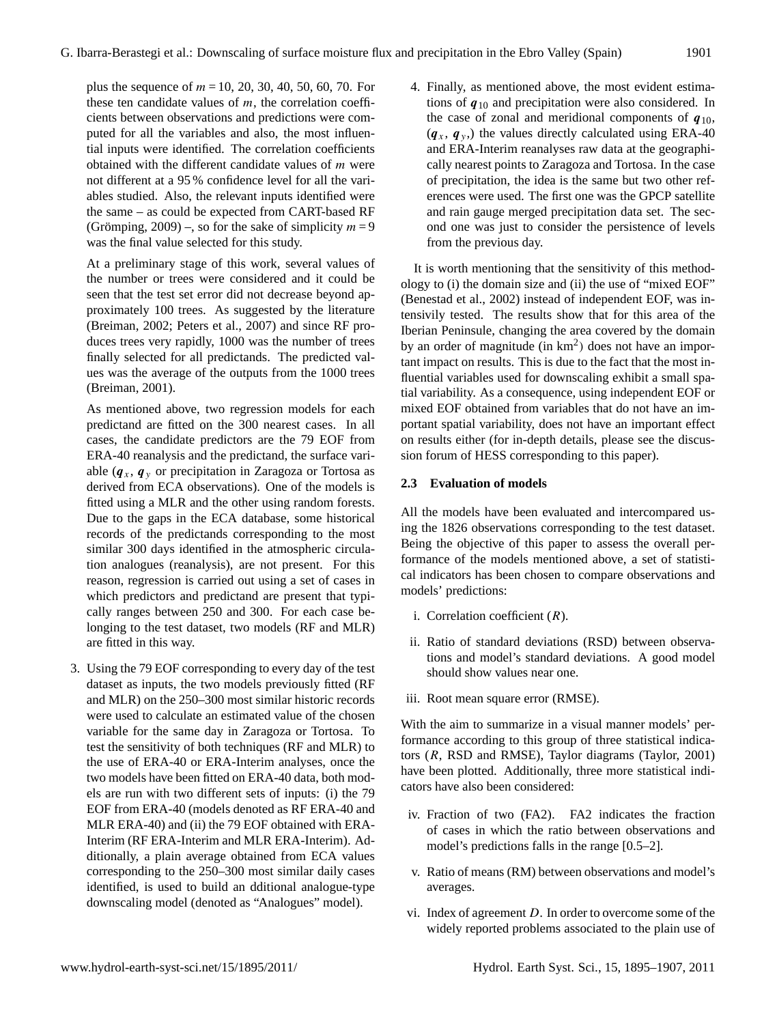plus the sequence of  $m = 10, 20, 30, 40, 50, 60, 70$ . For these ten candidate values of  $m$ , the correlation coefficients between observations and predictions were computed for all the variables and also, the most influential inputs were identified. The correlation coefficients obtained with the different candidate values of  $m$  were not different at a 95 % confidence level for all the variables studied. Also, the relevant inputs identified were the same – as could be expected from CART-based RF (Grömping, 2009) –, so for the sake of simplicity  $m = 9$ was the final value selected for this study.

At a preliminary stage of this work, several values of the number or trees were considered and it could be seen that the test set error did not decrease beyond approximately 100 trees. As suggested by the literature (Breiman, 2002; Peters et al., 2007) and since RF produces trees very rapidly, 1000 was the number of trees finally selected for all predictands. The predicted values was the average of the outputs from the 1000 trees (Breiman, 2001).

As mentioned above, two regression models for each predictand are fitted on the 300 nearest cases. In all cases, the candidate predictors are the 79 EOF from ERA-40 reanalysis and the predictand, the surface variable  $(q_x, q_y)$  or precipitation in Zaragoza or Tortosa as derived from ECA observations). One of the models is fitted using a MLR and the other using random forests. Due to the gaps in the ECA database, some historical records of the predictands corresponding to the most similar 300 days identified in the atmospheric circulation analogues (reanalysis), are not present. For this reason, regression is carried out using a set of cases in which predictors and predictand are present that typically ranges between 250 and 300. For each case belonging to the test dataset, two models (RF and MLR) are fitted in this way.

3. Using the 79 EOF corresponding to every day of the test dataset as inputs, the two models previously fitted (RF and MLR) on the 250–300 most similar historic records were used to calculate an estimated value of the chosen variable for the same day in Zaragoza or Tortosa. To test the sensitivity of both techniques (RF and MLR) to the use of ERA-40 or ERA-Interim analyses, once the two models have been fitted on ERA-40 data, both models are run with two different sets of inputs: (i) the 79 EOF from ERA-40 (models denoted as RF ERA-40 and MLR ERA-40) and (ii) the 79 EOF obtained with ERA-Interim (RF ERA-Interim and MLR ERA-Interim). Additionally, a plain average obtained from ECA values corresponding to the 250–300 most similar daily cases identified, is used to build an dditional analogue-type downscaling model (denoted as "Analogues" model).

4. Finally, as mentioned above, the most evident estimations of  $q_{10}$  and precipitation were also considered. In the case of zonal and meridional components of  $q_{10}$ ,  $(q_x, q_y)$ , the values directly calculated using ERA-40 and ERA-Interim reanalyses raw data at the geographically nearest points to Zaragoza and Tortosa. In the case of precipitation, the idea is the same but two other references were used. The first one was the GPCP satellite and rain gauge merged precipitation data set. The second one was just to consider the persistence of levels from the previous day.

It is worth mentioning that the sensitivity of this methodology to (i) the domain size and (ii) the use of "mixed EOF" (Benestad et al., 2002) instead of independent EOF, was intensivily tested. The results show that for this area of the Iberian Peninsule, changing the area covered by the domain by an order of magnitude (in  $km<sup>2</sup>$ ) does not have an important impact on results. This is due to the fact that the most influential variables used for downscaling exhibit a small spatial variability. As a consequence, using independent EOF or mixed EOF obtained from variables that do not have an important spatial variability, does not have an important effect on results either (for in-depth details, please see the discussion forum of HESS corresponding to this paper).

# **2.3 Evaluation of models**

All the models have been evaluated and intercompared using the 1826 observations corresponding to the test dataset. Being the objective of this paper to assess the overall performance of the models mentioned above, a set of statistical indicators has been chosen to compare observations and models' predictions:

- i. Correlation coefficient  $(R)$ .
- ii. Ratio of standard deviations (RSD) between observations and model's standard deviations. A good model should show values near one.
- iii. Root mean square error (RMSE).

With the aim to summarize in a visual manner models' performance according to this group of three statistical indicators (R, RSD and RMSE), Taylor diagrams (Taylor, 2001) have been plotted. Additionally, three more statistical indicators have also been considered:

- iv. Fraction of two (FA2). FA2 indicates the fraction of cases in which the ratio between observations and model's predictions falls in the range [0.5–2].
- v. Ratio of means (RM) between observations and model's averages.
- vi. Index of agreement  $D$ . In order to overcome some of the widely reported problems associated to the plain use of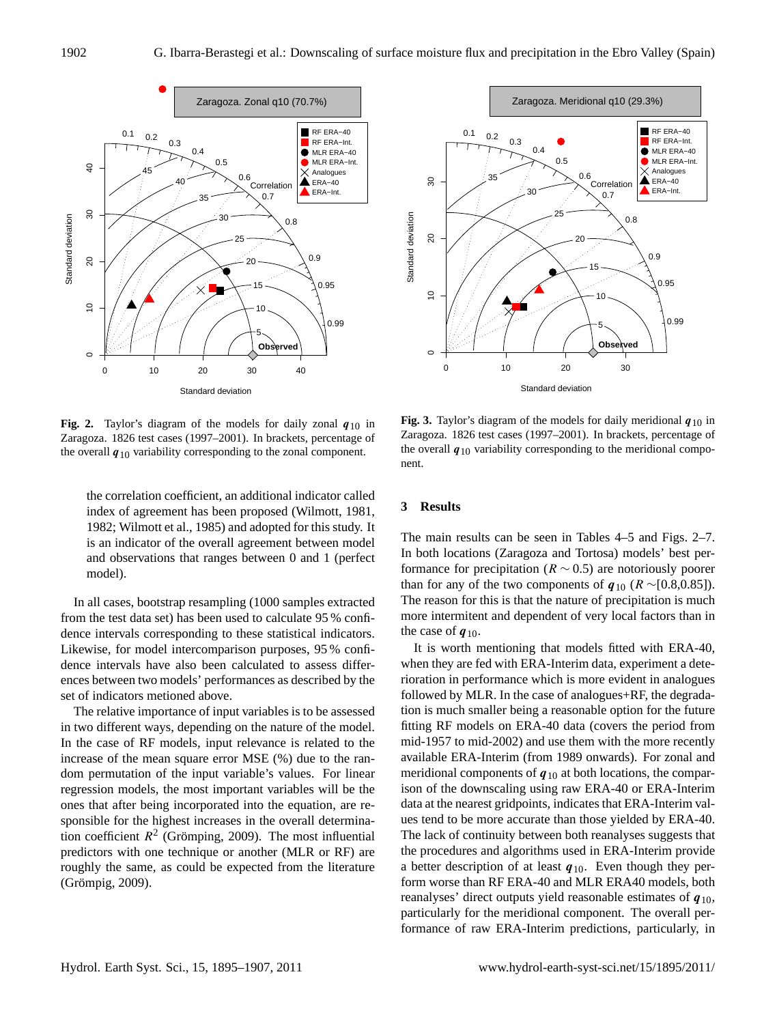

**Fig. 2.** Taylor's diagram of the models for daily zonal  $q_{10}$  in Zaragoza. 1826 test cases (1997–2001). In brackets, percentage of the overall  $q_{10}$  variability corresponding to the zonal component.

the correlation coefficient, an additional indicator called index of agreement has been proposed (Wilmott, 1981, 1982; Wilmott et al., 1985) and adopted for this study. It is an indicator of the overall agreement between model and observations that ranges between 0 and 1 (perfect model).

In all cases, bootstrap resampling (1000 samples extracted from the test data set) has been used to calculate 95 % confidence intervals corresponding to these statistical indicators. Likewise, for model intercomparison purposes, 95 % confidence intervals have also been calculated to assess differences between two models' performances as described by the set of indicators metioned above.

The relative importance of input variables is to be assessed in two different ways, depending on the nature of the model. In the case of RF models, input relevance is related to the increase of the mean square error MSE (%) due to the random permutation of the input variable's values. For linear regression models, the most important variables will be the ones that after being incorporated into the equation, are responsible for the highest increases in the overall determination coefficient  $R^2$  (Grömping, 2009). The most influential predictors with one technique or another (MLR or RF) are roughly the same, as could be expected from the literature (Grömpig, 2009).



**Fig. 3.** Taylor's diagram of the models for daily meridional  $q_{10}$  in Zaragoza. 1826 test cases (1997–2001). In brackets, percentage of the overall  $q_{10}$  variability corresponding to the meridional component.

## **3 Results**

The main results can be seen in Tables 4–5 and Figs. 2–7. In both locations (Zaragoza and Tortosa) models' best performance for precipitation ( $R \sim 0.5$ ) are notoriously poorer than for any of the two components of  $q_{10}$  ( $R \sim [0.8, 0.85]$ ). The reason for this is that the nature of precipitation is much more intermitent and dependent of very local factors than in the case of  $q_{10}$ .

It is worth mentioning that models fitted with ERA-40, when they are fed with ERA-Interim data, experiment a deterioration in performance which is more evident in analogues followed by MLR. In the case of analogues+RF, the degradation is much smaller being a reasonable option for the future fitting RF models on ERA-40 data (covers the period from mid-1957 to mid-2002) and use them with the more recently available ERA-Interim (from 1989 onwards). For zonal and meridional components of  $q_{10}$  at both locations, the comparison of the downscaling using raw ERA-40 or ERA-Interim data at the nearest gridpoints, indicates that ERA-Interim values tend to be more accurate than those yielded by ERA-40. The lack of continuity between both reanalyses suggests that the procedures and algorithms used in ERA-Interim provide a better description of at least  $q_{10}$ . Even though they perform worse than RF ERA-40 and MLR ERA40 models, both reanalyses' direct outputs yield reasonable estimates of  $q_{10}$ , particularly for the meridional component. The overall performance of raw ERA-Interim predictions, particularly, in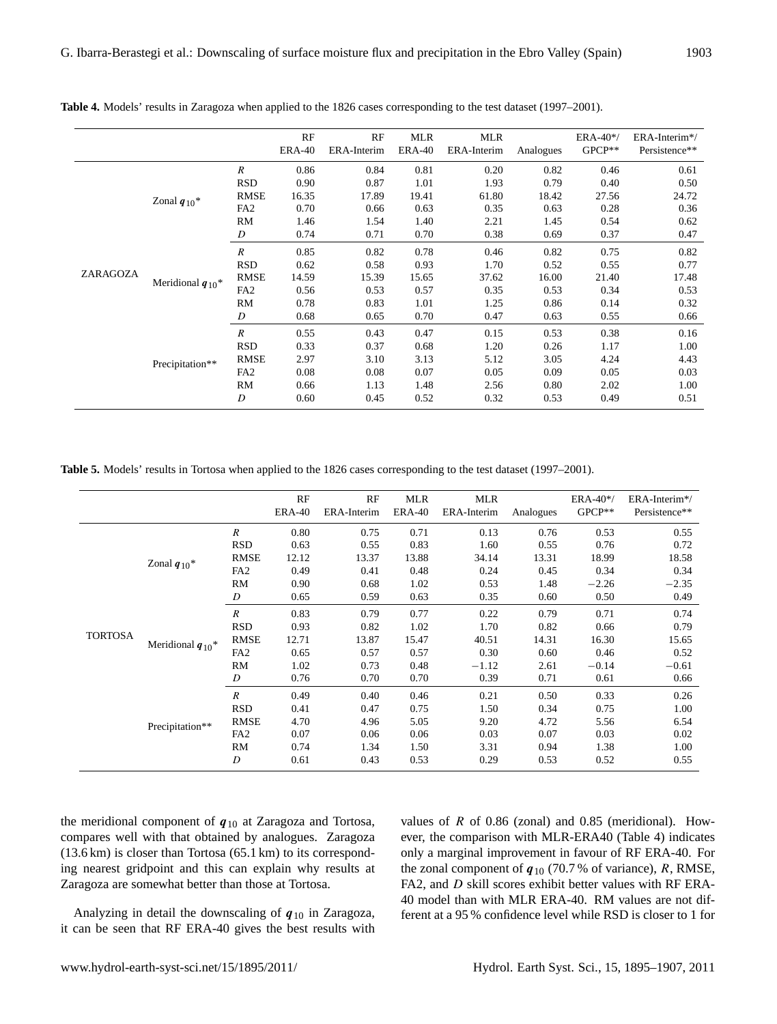|          |                                  |                  | RF<br><b>ERA-40</b> | RF<br>ERA-Interim | <b>MLR</b><br><b>ERA-40</b> | <b>MLR</b><br>ERA-Interim | Analogues | ERA-40*/<br>$GPCP**$ | ERA-Interim*/<br>Persistence** |
|----------|----------------------------------|------------------|---------------------|-------------------|-----------------------------|---------------------------|-----------|----------------------|--------------------------------|
|          | Zonal $q_{10}$ <sup>*</sup>      | $\boldsymbol{R}$ | 0.86                | 0.84              | 0.81                        | 0.20                      | 0.82      | 0.46                 | 0.61                           |
|          |                                  | <b>RSD</b>       | 0.90                | 0.87              | 1.01                        | 1.93                      | 0.79      | 0.40                 | 0.50                           |
|          |                                  | <b>RMSE</b>      | 16.35               | 17.89             | 19.41                       | 61.80                     | 18.42     | 27.56                | 24.72                          |
|          |                                  | FA <sub>2</sub>  | 0.70                | 0.66              | 0.63                        | 0.35                      | 0.63      | 0.28                 | 0.36                           |
|          |                                  | RM               | 1.46                | 1.54              | 1.40                        | 2.21                      | 1.45      | 0.54                 | 0.62                           |
|          |                                  | D                | 0.74                | 0.71              | 0.70                        | 0.38                      | 0.69      | 0.37                 | 0.47                           |
|          | Meridional $q_{10}$ <sup>*</sup> | $\boldsymbol{R}$ | 0.85                | 0.82              | 0.78                        | 0.46                      | 0.82      | 0.75                 | 0.82                           |
| ZARAGOZA |                                  | <b>RSD</b>       | 0.62                | 0.58              | 0.93                        | 1.70                      | 0.52      | 0.55                 | 0.77                           |
|          |                                  | <b>RMSE</b>      | 14.59               | 15.39             | 15.65                       | 37.62                     | 16.00     | 21.40                | 17.48                          |
|          |                                  | FA <sub>2</sub>  | 0.56                | 0.53              | 0.57                        | 0.35                      | 0.53      | 0.34                 | 0.53                           |
|          |                                  | RM               | 0.78                | 0.83              | 1.01                        | 1.25                      | 0.86      | 0.14                 | 0.32                           |
|          |                                  | D                | 0.68                | 0.65              | 0.70                        | 0.47                      | 0.63      | 0.55                 | 0.66                           |
|          |                                  | $\boldsymbol{R}$ | 0.55                | 0.43              | 0.47                        | 0.15                      | 0.53      | 0.38                 | 0.16                           |
|          | Precipitation**                  | <b>RSD</b>       | 0.33                | 0.37              | 0.68                        | 1.20                      | 0.26      | 1.17                 | 1.00                           |
|          |                                  | <b>RMSE</b>      | 2.97                | 3.10              | 3.13                        | 5.12                      | 3.05      | 4.24                 | 4.43                           |
|          |                                  | FA <sub>2</sub>  | 0.08                | 0.08              | 0.07                        | 0.05                      | 0.09      | 0.05                 | 0.03                           |
|          |                                  | RM               | 0.66                | 1.13              | 1.48                        | 2.56                      | 0.80      | 2.02                 | 1.00                           |
|          |                                  | $\boldsymbol{D}$ | 0.60                | 0.45              | 0.52                        | 0.32                      | 0.53      | 0.49                 | 0.51                           |

**Table 4.** Models' results in Zaragoza when applied to the 1826 cases corresponding to the test dataset (1997–2001).

**Table 5.** Models' results in Tortosa when applied to the 1826 cases corresponding to the test dataset (1997–2001).

|                |                                  |                  | RF<br><b>ERA-40</b> | RF<br>ERA-Interim | <b>MLR</b><br><b>ERA-40</b> | <b>MLR</b><br>ERA-Interim | Analogues | ERA-40*/<br>GPCP** | ERA-Interim*/<br>Persistence** |
|----------------|----------------------------------|------------------|---------------------|-------------------|-----------------------------|---------------------------|-----------|--------------------|--------------------------------|
|                | Zonal $q_{10}$ <sup>*</sup>      | $\boldsymbol{R}$ | 0.80                | 0.75              | 0.71                        | 0.13                      | 0.76      | 0.53               | 0.55                           |
|                |                                  | <b>RSD</b>       | 0.63                | 0.55              | 0.83                        | 1.60                      | 0.55      | 0.76               | 0.72                           |
|                |                                  | <b>RMSE</b>      | 12.12               | 13.37             | 13.88                       | 34.14                     | 13.31     | 18.99              | 18.58                          |
|                |                                  | FA <sub>2</sub>  | 0.49                | 0.41              | 0.48                        | 0.24                      | 0.45      | 0.34               | 0.34                           |
|                |                                  | RM               | 0.90                | 0.68              | 1.02                        | 0.53                      | 1.48      | $-2.26$            | $-2.35$                        |
|                |                                  | D                | 0.65                | 0.59              | 0.63                        | 0.35                      | 0.60      | 0.50               | 0.49                           |
|                | Meridional $q_{10}$ <sup>*</sup> | $\boldsymbol{R}$ | 0.83                | 0.79              | 0.77                        | 0.22                      | 0.79      | 0.71               | 0.74                           |
|                |                                  | <b>RSD</b>       | 0.93                | 0.82              | 1.02                        | 1.70                      | 0.82      | 0.66               | 0.79                           |
| <b>TORTOSA</b> |                                  | <b>RMSE</b>      | 12.71               | 13.87             | 15.47                       | 40.51                     | 14.31     | 16.30              | 15.65                          |
|                |                                  | FA <sub>2</sub>  | 0.65                | 0.57              | 0.57                        | 0.30                      | 0.60      | 0.46               | 0.52                           |
|                |                                  | RM               | 1.02                | 0.73              | 0.48                        | $-1.12$                   | 2.61      | $-0.14$            | $-0.61$                        |
|                |                                  | D                | 0.76                | 0.70              | 0.70                        | 0.39                      | 0.71      | 0.61               | 0.66                           |
|                |                                  | $\boldsymbol{R}$ | 0.49                | 0.40              | 0.46                        | 0.21                      | 0.50      | 0.33               | 0.26                           |
|                | Precipitation**                  | <b>RSD</b>       | 0.41                | 0.47              | 0.75                        | 1.50                      | 0.34      | 0.75               | 1.00                           |
|                |                                  | <b>RMSE</b>      | 4.70                | 4.96              | 5.05                        | 9.20                      | 4.72      | 5.56               | 6.54                           |
|                |                                  | FA <sub>2</sub>  | 0.07                | 0.06              | 0.06                        | 0.03                      | 0.07      | 0.03               | 0.02                           |
|                |                                  | <b>RM</b>        | 0.74                | 1.34              | 1.50                        | 3.31                      | 0.94      | 1.38               | 1.00                           |
|                |                                  | D                | 0.61                | 0.43              | 0.53                        | 0.29                      | 0.53      | 0.52               | 0.55                           |

the meridional component of  $q_{10}$  at Zaragoza and Tortosa, compares well with that obtained by analogues. Zaragoza (13.6 km) is closer than Tortosa (65.1 km) to its corresponding nearest gridpoint and this can explain why results at Zaragoza are somewhat better than those at Tortosa.

Analyzing in detail the downscaling of  $q_{10}$  in Zaragoza, it can be seen that RF ERA-40 gives the best results with values of  $R$  of 0.86 (zonal) and 0.85 (meridional). However, the comparison with MLR-ERA40 (Table 4) indicates only a marginal improvement in favour of RF ERA-40. For the zonal component of  $q_{10}$  (70.7% of variance), R, RMSE, FA2, and D skill scores exhibit better values with RF ERA-40 model than with MLR ERA-40. RM values are not different at a 95 % confidence level while RSD is closer to 1 for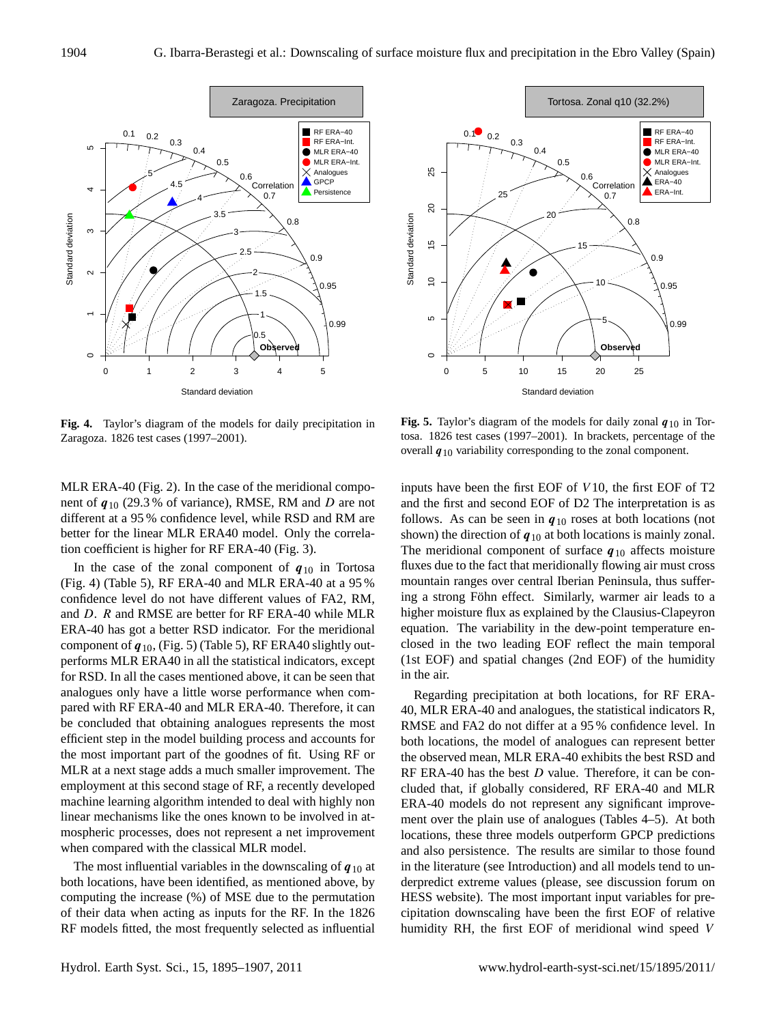

**Fig. 4.** Taylor's diagram of the models for daily precipitation in Zaragoza. 1826 test cases (1997–2001).

MLR ERA-40 (Fig. 2). In the case of the meridional component of  $q_{10}$  (29.3% of variance), RMSE, RM and D are not different at a 95 % confidence level, while RSD and RM are better for the linear MLR ERA40 model. Only the correlation coefficient is higher for RF ERA-40 (Fig. 3).

In the case of the zonal component of  $q_{10}$  in Tortosa (Fig. 4) (Table 5), RF ERA-40 and MLR ERA-40 at a 95 % confidence level do not have different values of FA2, RM, and D. R and RMSE are better for RF ERA-40 while MLR ERA-40 has got a better RSD indicator. For the meridional component of  $q_{10}$ , (Fig. 5) (Table 5), RF ERA40 slightly outperforms MLR ERA40 in all the statistical indicators, except for RSD. In all the cases mentioned above, it can be seen that analogues only have a little worse performance when compared with RF ERA-40 and MLR ERA-40. Therefore, it can be concluded that obtaining analogues represents the most efficient step in the model building process and accounts for the most important part of the goodnes of fit. Using RF or MLR at a next stage adds a much smaller improvement. The employment at this second stage of RF, a recently developed machine learning algorithm intended to deal with highly non linear mechanisms like the ones known to be involved in atmospheric processes, does not represent a net improvement when compared with the classical MLR model.

The most influential variables in the downscaling of  $q_{10}$  at both locations, have been identified, as mentioned above, by computing the increase (%) of MSE due to the permutation of their data when acting as inputs for the RF. In the 1826 RF models fitted, the most frequently selected as influential



**Fig. 5.** Taylor's diagram of the models for daily zonal  $q_{10}$  in Tortosa. 1826 test cases (1997–2001). In brackets, percentage of the overall  $q_{10}$  variability corresponding to the zonal component.

inputs have been the first EOF of V 10, the first EOF of T2 and the first and second EOF of D2 The interpretation is as follows. As can be seen in  $q_{10}$  roses at both locations (not shown) the direction of  $q_{10}$  at both locations is mainly zonal. The meridional component of surface  $q_{10}$  affects moisture fluxes due to the fact that meridionally flowing air must cross mountain ranges over central Iberian Peninsula, thus suffering a strong Föhn effect. Similarly, warmer air leads to a higher moisture flux as explained by the Clausius-Clapeyron equation. The variability in the dew-point temperature enclosed in the two leading EOF reflect the main temporal (1st EOF) and spatial changes (2nd EOF) of the humidity in the air.

Regarding precipitation at both locations, for RF ERA-40, MLR ERA-40 and analogues, the statistical indicators R, RMSE and FA2 do not differ at a 95 % confidence level. In both locations, the model of analogues can represent better the observed mean, MLR ERA-40 exhibits the best RSD and RF ERA-40 has the best  $D$  value. Therefore, it can be concluded that, if globally considered, RF ERA-40 and MLR ERA-40 models do not represent any significant improvement over the plain use of analogues (Tables 4–5). At both locations, these three models outperform GPCP predictions and also persistence. The results are similar to those found in the literature (see Introduction) and all models tend to underpredict extreme values (please, see discussion forum on HESS website). The most important input variables for precipitation downscaling have been the first EOF of relative humidity RH, the first EOF of meridional wind speed V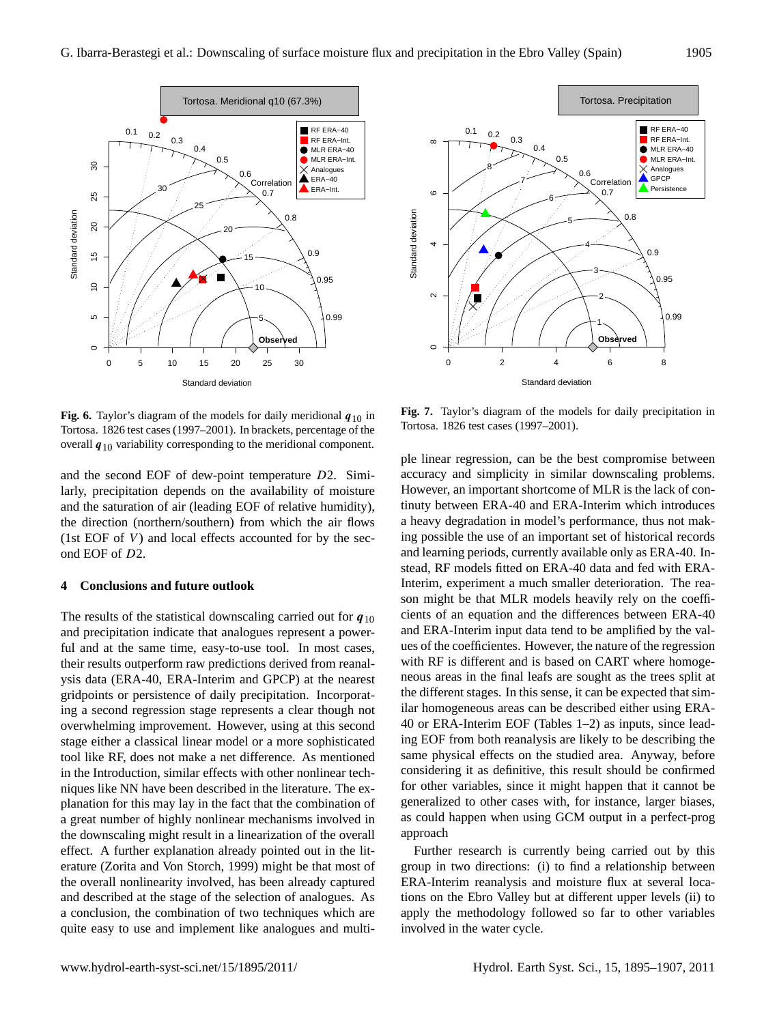

**Fig. 6.** Taylor's diagram of the models for daily meridional  $q_{10}$  in Tortosa. 1826 test cases (1997–2001). In brackets, percentage of the overall  $q_{10}$  variability corresponding to the meridional component.

and the second EOF of dew-point temperature D2. Similarly, precipitation depends on the availability of moisture and the saturation of air (leading EOF of relative humidity), the direction (northern/southern) from which the air flows (1st EOF of  $V$ ) and local effects accounted for by the second EOF of D2.

#### **4 Conclusions and future outlook**

The results of the statistical downscaling carried out for  $q_{10}$ and precipitation indicate that analogues represent a powerful and at the same time, easy-to-use tool. In most cases, their results outperform raw predictions derived from reanalysis data (ERA-40, ERA-Interim and GPCP) at the nearest gridpoints or persistence of daily precipitation. Incorporating a second regression stage represents a clear though not overwhelming improvement. However, using at this second stage either a classical linear model or a more sophisticated tool like RF, does not make a net difference. As mentioned in the Introduction, similar effects with other nonlinear techniques like NN have been described in the literature. The explanation for this may lay in the fact that the combination of a great number of highly nonlinear mechanisms involved in the downscaling might result in a linearization of the overall effect. A further explanation already pointed out in the literature (Zorita and Von Storch, 1999) might be that most of the overall nonlinearity involved, has been already captured and described at the stage of the selection of analogues. As a conclusion, the combination of two techniques which are quite easy to use and implement like analogues and multi-



**Fig. 7.** Taylor's diagram of the models for daily precipitation in Tortosa. 1826 test cases (1997–2001).

ple linear regression, can be the best compromise between accuracy and simplicity in similar downscaling problems. However, an important shortcome of MLR is the lack of continuty between ERA-40 and ERA-Interim which introduces a heavy degradation in model's performance, thus not making possible the use of an important set of historical records and learning periods, currently available only as ERA-40. Instead, RF models fitted on ERA-40 data and fed with ERA-Interim, experiment a much smaller deterioration. The reason might be that MLR models heavily rely on the coefficients of an equation and the differences between ERA-40 and ERA-Interim input data tend to be amplified by the values of the coefficientes. However, the nature of the regression with RF is different and is based on CART where homogeneous areas in the final leafs are sought as the trees split at the different stages. In this sense, it can be expected that similar homogeneous areas can be described either using ERA-40 or ERA-Interim EOF (Tables 1–2) as inputs, since leading EOF from both reanalysis are likely to be describing the same physical effects on the studied area. Anyway, before considering it as definitive, this result should be confirmed for other variables, since it might happen that it cannot be generalized to other cases with, for instance, larger biases, as could happen when using GCM output in a perfect-prog approach

Further research is currently being carried out by this group in two directions: (i) to find a relationship between ERA-Interim reanalysis and moisture flux at several locations on the Ebro Valley but at different upper levels (ii) to apply the methodology followed so far to other variables involved in the water cycle.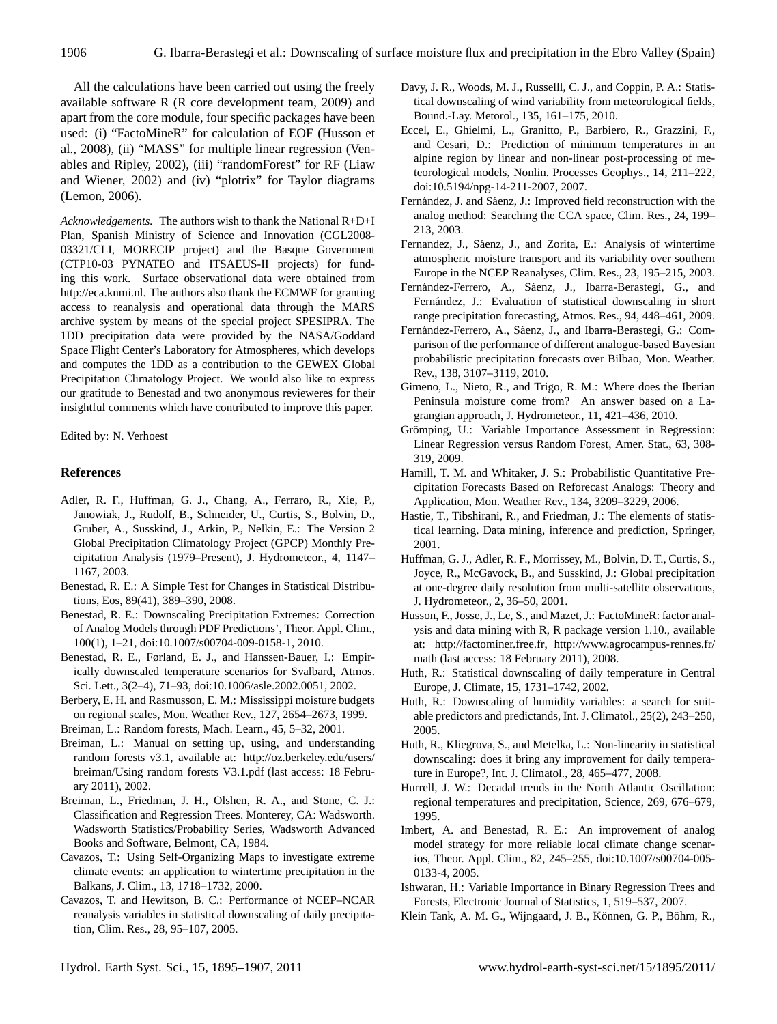All the calculations have been carried out using the freely available software R (R core development team, 2009) and apart from the core module, four specific packages have been used: (i) "FactoMineR" for calculation of EOF (Husson et al., 2008), (ii) "MASS" for multiple linear regression (Venables and Ripley, 2002), (iii) "randomForest" for RF (Liaw and Wiener, 2002) and (iv) "plotrix" for Taylor diagrams (Lemon, 2006).

*Acknowledgements.* The authors wish to thank the National R+D+I Plan, Spanish Ministry of Science and Innovation (CGL2008- 03321/CLI, MORECIP project) and the Basque Government (CTP10-03 PYNATEO and ITSAEUS-II projects) for funding this work. Surface observational data were obtained from [http://eca.knmi.nl.](http://eca.knmi.nl) The authors also thank the ECMWF for granting access to reanalysis and operational data through the MARS archive system by means of the special project SPESIPRA. The 1DD precipitation data were provided by the NASA/Goddard Space Flight Center's Laboratory for Atmospheres, which develops and computes the 1DD as a contribution to the GEWEX Global Precipitation Climatology Project. We would also like to express our gratitude to Benestad and two anonymous revieweres for their insightful comments which have contributed to improve this paper.

Edited by: N. Verhoest

#### **References**

- Adler, R. F., Huffman, G. J., Chang, A., Ferraro, R., Xie, P., Janowiak, J., Rudolf, B., Schneider, U., Curtis, S., Bolvin, D., Gruber, A., Susskind, J., Arkin, P., Nelkin, E.: The Version 2 Global Precipitation Climatology Project (GPCP) Monthly Precipitation Analysis (1979–Present), J. Hydrometeor., 4, 1147– 1167, 2003.
- Benestad, R. E.: A Simple Test for Changes in Statistical Distributions, Eos, 89(41), 389–390, 2008.
- Benestad, R. E.: Downscaling Precipitation Extremes: Correction of Analog Models through PDF Predictions', Theor. Appl. Clim., 100(1), 1–21, [doi:10.1007/s00704-009-0158-1,](http://dx.doi.org/10.1007/s00704-009-0158-1) 2010.
- Benestad, R. E., Førland, E. J., and Hanssen-Bauer, I.: Empirically downscaled temperature scenarios for Svalbard, Atmos. Sci. Lett., 3(2–4), 71–93, [doi:10.1006/asle.2002.0051,](http://dx.doi.org/10.1006/asle.2002.0051) 2002.
- Berbery, E. H. and Rasmusson, E. M.: Mississippi moisture budgets on regional scales, Mon. Weather Rev., 127, 2654–2673, 1999.
- Breiman, L.: Random forests, Mach. Learn., 45, 5–32, 2001.
- Breiman, L.: Manual on setting up, using, and understanding random forests v3.1, available at: [http://oz.berkeley.edu/users/](http://oz.berkeley.edu/users/breiman/Using_random_forests_V3.1.pdf) [breiman/Using](http://oz.berkeley.edu/users/breiman/Using_random_forests_V3.1.pdf)\_random\_forests\_V3.1.pdf (last access: 18 February 2011), 2002.
- Breiman, L., Friedman, J. H., Olshen, R. A., and Stone, C. J.: Classification and Regression Trees. Monterey, CA: Wadsworth. Wadsworth Statistics/Probability Series, Wadsworth Advanced Books and Software, Belmont, CA, 1984.
- Cavazos, T.: Using Self-Organizing Maps to investigate extreme climate events: an application to wintertime precipitation in the Balkans, J. Clim., 13, 1718–1732, 2000.
- Cavazos, T. and Hewitson, B. C.: Performance of NCEP–NCAR reanalysis variables in statistical downscaling of daily precipitation, Clim. Res., 28, 95–107, 2005.
- Davy, J. R., Woods, M. J., Russelll, C. J., and Coppin, P. A.: Statistical downscaling of wind variability from meteorological fields, Bound.-Lay. Metorol., 135, 161–175, 2010.
- Eccel, E., Ghielmi, L., Granitto, P., Barbiero, R., Grazzini, F., and Cesari, D.: Prediction of minimum temperatures in an alpine region by linear and non-linear post-processing of meteorological models, Nonlin. Processes Geophys., 14, 211–222, [doi:10.5194/npg-14-211-2007,](http://dx.doi.org/10.5194/npg-14-211-2007) 2007.
- Fernández, J. and Sáenz, J.: Improved field reconstruction with the analog method: Searching the CCA space, Clim. Res., 24, 199– 213, 2003.
- Fernandez, J., Sáenz, J., and Zorita, E.: Analysis of wintertime atmospheric moisture transport and its variability over southern Europe in the NCEP Reanalyses, Clim. Res., 23, 195–215, 2003.
- Fernández-Ferrero, A., Sáenz, J., Ibarra-Berastegi, G., and Fernández, J.: Evaluation of statistical downscaling in short range precipitation forecasting, Atmos. Res., 94, 448–461, 2009.
- Fernández-Ferrero, A., Sáenz, J., and Ibarra-Berastegi, G.: Comparison of the performance of different analogue-based Bayesian probabilistic precipitation forecasts over Bilbao, Mon. Weather. Rev., 138, 3107–3119, 2010.
- Gimeno, L., Nieto, R., and Trigo, R. M.: Where does the Iberian Peninsula moisture come from? An answer based on a Lagrangian approach, J. Hydrometeor., 11, 421–436, 2010.
- Grömping, U.: Variable Importance Assessment in Regression: Linear Regression versus Random Forest, Amer. Stat., 63, 308- 319, 2009.
- Hamill, T. M. and Whitaker, J. S.: Probabilistic Quantitative Precipitation Forecasts Based on Reforecast Analogs: Theory and Application, Mon. Weather Rev., 134, 3209–3229, 2006.
- Hastie, T., Tibshirani, R., and Friedman, J.: The elements of statistical learning. Data mining, inference and prediction, Springer, 2001.
- Huffman, G. J., Adler, R. F., Morrissey, M., Bolvin, D. T., Curtis, S., Joyce, R., McGavock, B., and Susskind, J.: Global precipitation at one-degree daily resolution from multi-satellite observations, J. Hydrometeor., 2, 36–50, 2001.
- Husson, F., Josse, J., Le, S., and Mazet, J.: FactoMineR: factor analysis and data mining with R, R package version 1.10., available at: [http://factominer.free.fr,](http://factominer.free.fr) [http://www.agrocampus-rennes.fr/](http://www.agrocampus-rennes.fr/math) [math](http://www.agrocampus-rennes.fr/math) (last access: 18 February 2011), 2008.
- Huth, R.: Statistical downscaling of daily temperature in Central Europe, J. Climate, 15, 1731–1742, 2002.
- Huth, R.: Downscaling of humidity variables: a search for suitable predictors and predictands, Int. J. Climatol., 25(2), 243–250, 2005.
- Huth, R., Kliegrova, S., and Metelka, L.: Non-linearity in statistical downscaling: does it bring any improvement for daily temperature in Europe?, Int. J. Climatol., 28, 465–477, 2008.
- Hurrell, J. W.: Decadal trends in the North Atlantic Oscillation: regional temperatures and precipitation, Science, 269, 676–679, 1995.
- Imbert, A. and Benestad, R. E.: An improvement of analog model strategy for more reliable local climate change scenarios, Theor. Appl. Clim., 82, 245–255, [doi:10.1007/s00704-005-](http://dx.doi.org/10.1007/s00704-005-0133-4) [0133-4,](http://dx.doi.org/10.1007/s00704-005-0133-4) 2005.
- Ishwaran, H.: Variable Importance in Binary Regression Trees and Forests, Electronic Journal of Statistics, 1, 519–537, 2007.
- Klein Tank, A. M. G., Wijngaard, J. B., Können, G. P., Böhm, R.,